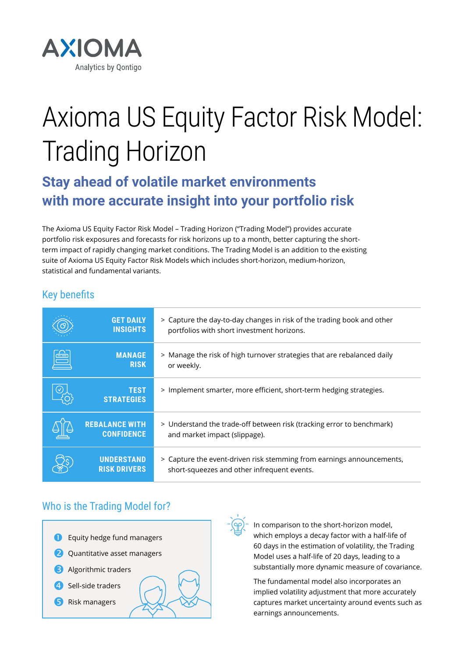

# Axioma US Equity Factor Risk Model: Trading Horizon

## **Stay ahead of volatile market environments with more accurate insight into your portfolio risk**

The Axioma US Equity Factor Risk Model – Trading Horizon ("Trading Model") provides accurate portfolio risk exposures and forecasts for risk horizons up to a month, better capturing the shortterm impact of rapidly changing market conditions. The Trading Model is an addition to the existing suite of Axioma US Equity Factor Risk Models which includes short-horizon, medium-horizon, statistical and fundamental variants.

## Key benefits

|   | <b>GET DAILY</b><br><b>INSIGHTS</b>        | > Capture the day-to-day changes in risk of the trading book and other<br>portfolios with short investment horizons. |
|---|--------------------------------------------|----------------------------------------------------------------------------------------------------------------------|
| É | <b>MANAGE</b><br><b>RISK</b>               | > Manage the risk of high turnover strategies that are rebalanced daily<br>or weekly.                                |
|   | <b>TEST</b><br><b>STRATEGIES</b>           | > Implement smarter, more efficient, short-term hedging strategies.                                                  |
|   | <b>REBALANCE WITH</b><br><b>CONFIDENCE</b> | > Understand the trade-off between risk (tracking error to benchmark)<br>and market impact (slippage).               |
|   | <b>UNDERSTAND</b><br><b>RISK DRIVERS</b>   | > Capture the event-driven risk stemming from earnings announcements,<br>short-squeezes and other infrequent events. |

## Who is the Trading Model for?



In comparison to the short-horizon model, which employs a decay factor with a half-life of 60 days in the estimation of volatility, the Trading Model uses a half-life of 20 days, leading to a substantially more dynamic measure of covariance.

The fundamental model also incorporates an implied volatility adjustment that more accurately captures market uncertainty around events such as earnings announcements.